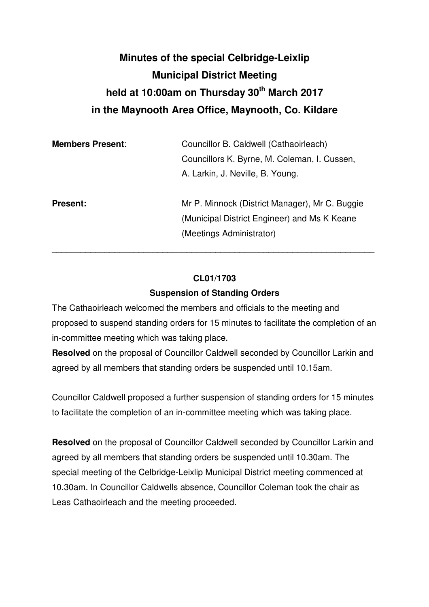# **Minutes of the special Celbridge-Leixlip Municipal District Meeting held at 10:00am on Thursday 30th March 2017 in the Maynooth Area Office, Maynooth, Co. Kildare**

| <b>Members Present:</b> | Councillor B. Caldwell (Cathaoirleach)<br>Councillors K. Byrne, M. Coleman, I. Cussen,<br>A. Larkin, J. Neville, B. Young. |
|-------------------------|----------------------------------------------------------------------------------------------------------------------------|
| <b>Present:</b>         | Mr P. Minnock (District Manager), Mr C. Buggie<br>(Municipal District Engineer) and Ms K Keane<br>(Meetings Administrator) |

### **CL01/1703**

\_\_\_\_\_\_\_\_\_\_\_\_\_\_\_\_\_\_\_\_\_\_\_\_\_\_\_\_\_\_\_\_\_\_\_\_\_\_\_\_\_\_\_\_\_\_\_\_\_\_\_\_\_\_\_\_\_\_\_\_\_\_\_\_\_\_\_

### **Suspension of Standing Orders**

The Cathaoirleach welcomed the members and officials to the meeting and proposed to suspend standing orders for 15 minutes to facilitate the completion of an in-committee meeting which was taking place.

**Resolved** on the proposal of Councillor Caldwell seconded by Councillor Larkin and agreed by all members that standing orders be suspended until 10.15am.

Councillor Caldwell proposed a further suspension of standing orders for 15 minutes to facilitate the completion of an in-committee meeting which was taking place.

**Resolved** on the proposal of Councillor Caldwell seconded by Councillor Larkin and agreed by all members that standing orders be suspended until 10.30am. The special meeting of the Celbridge-Leixlip Municipal District meeting commenced at 10.30am. In Councillor Caldwells absence, Councillor Coleman took the chair as Leas Cathaoirleach and the meeting proceeded.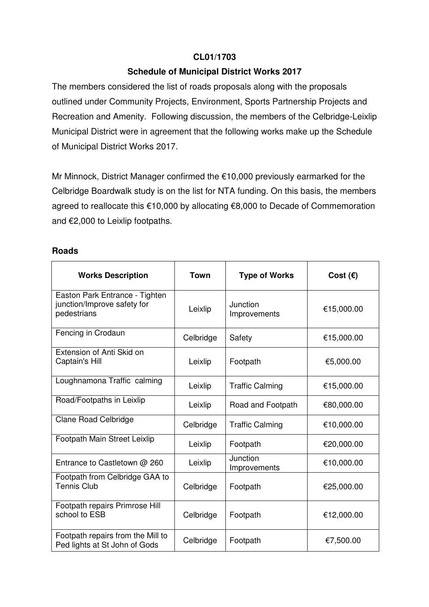# **CL01/1703**

## **Schedule of Municipal District Works 2017**

The members considered the list of roads proposals along with the proposals outlined under Community Projects, Environment, Sports Partnership Projects and Recreation and Amenity. Following discussion, the members of the Celbridge-Leixlip Municipal District were in agreement that the following works make up the Schedule of Municipal District Works 2017.

Mr Minnock, District Manager confirmed the €10,000 previously earmarked for the Celbridge Boardwalk study is on the list for NTA funding. On this basis, the members agreed to reallocate this €10,000 by allocating €8,000 to Decade of Commemoration and €2,000 to Leixlip footpaths.

#### **Roads**

| <b>Works Description</b>                                                     | <b>Town</b> | <b>Type of Works</b>     | Cost $(\epsilon)$ |
|------------------------------------------------------------------------------|-------------|--------------------------|-------------------|
| Easton Park Entrance - Tighten<br>junction/Improve safety for<br>pedestrians | Leixlip     | Junction<br>Improvements | €15,000.00        |
| Fencing in Crodaun                                                           | Celbridge   | Safety                   | €15,000.00        |
| Extension of Anti Skid on<br>Captain's Hill                                  | Leixlip     | Footpath                 | €5,000.00         |
| Loughnamona Traffic calming                                                  | Leixlip     | <b>Traffic Calming</b>   | €15,000.00        |
| Road/Footpaths in Leixlip                                                    | Leixlip     | Road and Footpath        | €80,000.00        |
| <b>Clane Road Celbridge</b>                                                  | Celbridge   | <b>Traffic Calming</b>   | €10,000.00        |
| Footpath Main Street Leixlip                                                 | Leixlip     | Footpath                 | €20,000.00        |
| Entrance to Castletown @ 260                                                 | Leixlip     | Junction<br>Improvements | €10,000.00        |
| Footpath from Celbridge GAA to<br><b>Tennis Club</b>                         | Celbridge   | Footpath                 | €25,000.00        |
| Footpath repairs Primrose Hill<br>school to ESB                              | Celbridge   | Footpath                 | €12,000.00        |
| Footpath repairs from the Mill to<br>Ped lights at St John of Gods           | Celbridge   | Footpath                 | €7,500.00         |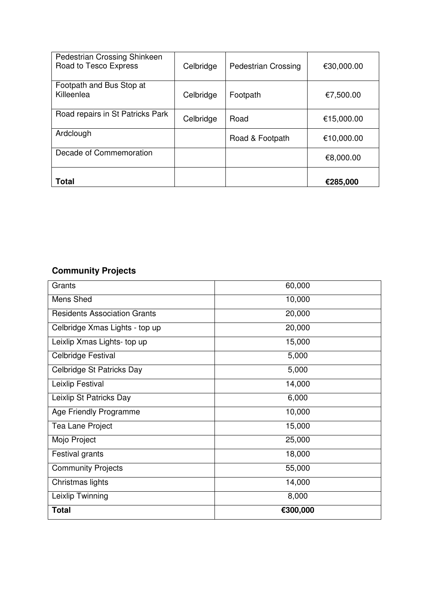| Pedestrian Crossing Shinkeen<br>Road to Tesco Express | Celbridge | <b>Pedestrian Crossing</b> | €30,000.00 |
|-------------------------------------------------------|-----------|----------------------------|------------|
| Footpath and Bus Stop at<br>Killeenlea                | Celbridge | Footpath                   | €7,500.00  |
| Road repairs in St Patricks Park                      | Celbridge | Road                       | €15,000.00 |
| Ardclough                                             |           | Road & Footpath            | €10,000.00 |
| Decade of Commemoration                               |           |                            | €8,000.00  |
| <b>Total</b>                                          |           |                            | €285,000   |

# **Community Projects**

| Grants                              | 60,000   |
|-------------------------------------|----------|
| Mens Shed                           | 10,000   |
| <b>Residents Association Grants</b> | 20,000   |
| Celbridge Xmas Lights - top up      | 20,000   |
| Leixlip Xmas Lights- top up         | 15,000   |
| Celbridge Festival                  | 5,000    |
| Celbridge St Patricks Day           | 5,000    |
| Leixlip Festival                    | 14,000   |
| Leixlip St Patricks Day             | 6,000    |
| Age Friendly Programme              | 10,000   |
| Tea Lane Project                    | 15,000   |
| Mojo Project                        | 25,000   |
| Festival grants                     | 18,000   |
| <b>Community Projects</b>           | 55,000   |
| Christmas lights                    | 14,000   |
| Leixlip Twinning                    | 8,000    |
| <b>Total</b>                        | €300,000 |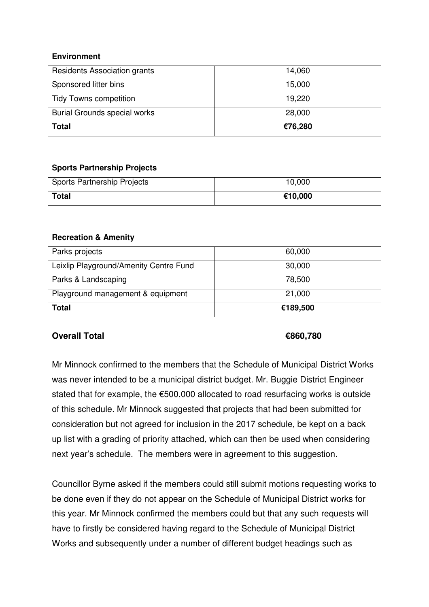### **Environment**

| Residents Association grants        | 14,060  |
|-------------------------------------|---------|
| Sponsored litter bins               | 15,000  |
| <b>Tidy Towns competition</b>       | 19,220  |
| <b>Burial Grounds special works</b> | 28,000  |
| <b>Total</b>                        | €76,280 |

### **Sports Partnership Projects**

| Sports Partnership Projects | 10,000  |
|-----------------------------|---------|
| <b>Total</b>                | €10,000 |

### **Recreation & Amenity**

| Parks projects                         | 60,000   |
|----------------------------------------|----------|
| Leixlip Playground/Amenity Centre Fund | 30,000   |
| Parks & Landscaping                    | 78,500   |
| Playground management & equipment      | 21,000   |
| <b>Total</b>                           | €189,500 |

# **Overall Total €860,780**

Mr Minnock confirmed to the members that the Schedule of Municipal District Works was never intended to be a municipal district budget. Mr. Buggie District Engineer stated that for example, the €500,000 allocated to road resurfacing works is outside of this schedule. Mr Minnock suggested that projects that had been submitted for consideration but not agreed for inclusion in the 2017 schedule, be kept on a back up list with a grading of priority attached, which can then be used when considering next year's schedule. The members were in agreement to this suggestion.

Councillor Byrne asked if the members could still submit motions requesting works to be done even if they do not appear on the Schedule of Municipal District works for this year. Mr Minnock confirmed the members could but that any such requests will have to firstly be considered having regard to the Schedule of Municipal District Works and subsequently under a number of different budget headings such as